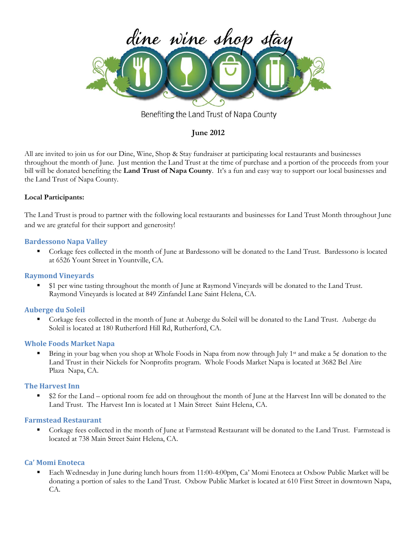

Benefiting the Land Trust of Napa County

# **June 2012**

All are invited to join us for our Dine, Wine, Shop & Stay fundraiser at participating local restaurants and businesses throughout the month of June. Just mention the Land Trust at the time of purchase and a portion of the proceeds from your bill will be donated benefiting the **Land Trust of Napa County**. It's a fun and easy way to support our local businesses and the Land Trust of Napa County.

# **Local Participants:**

The Land Trust is proud to partner with the following local restaurants and businesses for Land Trust Month throughout June and we are grateful for their support and generosity!

## **Bardessono Napa Valley**

 Corkage fees collected in the month of June at Bardessono will be donated to the Land Trust. Bardessono is located at 6526 Yount Street in Yountville, CA.

## **Raymond Vineyards**

**51** per wine tasting throughout the month of June at Raymond Vineyards will be donated to the Land Trust. Raymond Vineyards is located at 849 Zinfandel Lane Saint Helena, CA.

# **Auberge du Soleil**

 Corkage fees collected in the month of June at Auberge du Soleil will be donated to the Land Trust. Auberge du Soleil is located at 180 Rutherford Hill Rd, Rutherford, CA.

## **Whole Foods Market Napa**

Bring in your bag when you shop at Whole Foods in Napa from now through July 1<sup>st</sup> and make a 5¢ donation to the Land Trust in their Nickels for Nonprofits program. Whole Foods Market Napa is located at 3682 Bel Aire Plaza Napa, CA.

## **The Harvest Inn**

 \$2 for the Land – optional room fee add on throughout the month of June at the Harvest Inn will be donated to the Land Trust. The Harvest Inn is located at 1 Main Street Saint Helena, CA.

## **Farmstead Restaurant**

 Corkage fees collected in the month of June at Farmstead Restaurant will be donated to the Land Trust. Farmstead is located at 738 Main Street Saint Helena, CA.

## **Ca' Momi Enoteca**

 Each Wednesday in June during lunch hours from 11:00-4:00pm, Ca' Momi Enoteca at Oxbow Public Market will be donating a portion of sales to the Land Trust. Oxbow Public Market is located at 610 First Street in downtown Napa, CA.